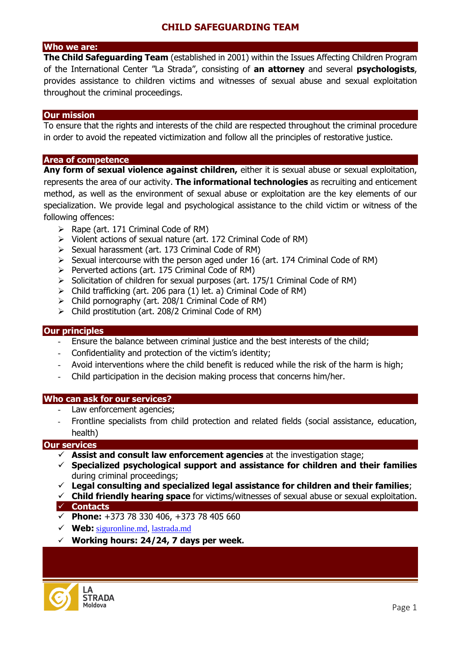# **CHILD SAFEGUARDING TEAM**

# **Who we are:**

**The Child Safeguarding Team** (established in 2001) within the Issues Affecting Children Program of the International Center "La Strada", consisting of **an attorney** and several **psychologists**, provides assistance to children victims and witnesses of sexual abuse and sexual exploitation throughout the criminal proceedings.

#### **Our mission**

To ensure that the rights and interests of the child are respected throughout the criminal procedure in order to avoid the repeated victimization and follow all the principles of restorative justice.

#### **Area of competence**

**Any form of sexual violence against children,** either it is sexual abuse or sexual exploitation, represents the area of our activity. **The informational technologies** as recruiting and enticement method, as well as the environment of sexual abuse or exploitation are the key elements of our specialization. We provide legal and psychological assistance to the child victim or witness of the following offences:

- $\triangleright$  Rape (art. 171 Criminal Code of RM)
- $\triangleright$  Violent actions of sexual nature (art. 172 Criminal Code of RM)
- $\triangleright$  Sexual harassment (art. 173 Criminal Code of RM)
- $\triangleright$  Sexual intercourse with the person aged under 16 (art. 174 Criminal Code of RM)
- $\triangleright$  Perverted actions (art. 175 Criminal Code of RM)
- $\triangleright$  Solicitation of children for sexual purposes (art. 175/1 Criminal Code of RM)
- $\triangleright$  Child trafficking (art. 206 para (1) let. a) Criminal Code of RM)
- $\triangleright$  Child pornography (art. 208/1 Criminal Code of RM)
- Child prostitution (art. 208/2 Criminal Code of RM)

### **Our principles**

- Ensure the balance between criminal justice and the best interests of the child;
- Confidentiality and protection of the victim's identity;
- Avoid interventions where the child benefit is reduced while the risk of the harm is high;
- Child participation in the decision making process that concerns him/her.

### **Who can ask for our services?**

- Law enforcement agencies;
- Frontline specialists from child protection and related fields (social assistance, education, health)

### **Our services**

- **Assist and consult law enforcement agencies** at the investigation stage;
- **Specialized psychological support and assistance for children and their families**  during criminal proceedings;
- **Legal consulting and specialized legal assistance for children and their families**;
- **Child friendly hearing space** for victims/witnesses of sexual abuse or sexual exploitation. **Contacts**
- **Phone:** +373 78 330 406, +373 78 405 660
- **Web:** [siguronline.md,](http://lastrada.md/) lastrada.md
- **Working hours: 24/24, 7 days per week.**

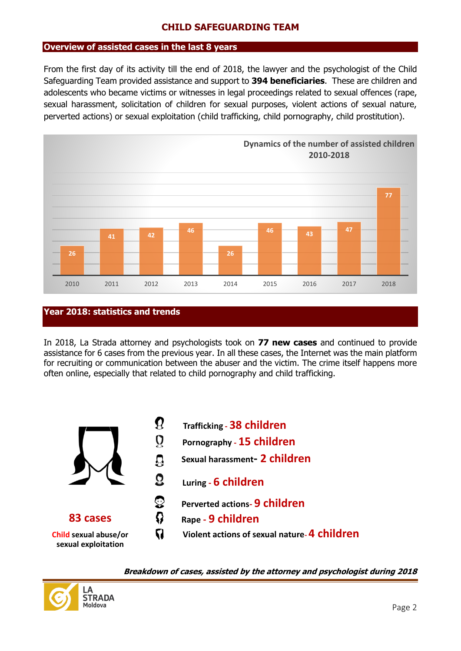## **CHILD SAFEGUARDING TEAM**

### **Overview of assisted cases in the last 8 years**

From the first day of its activity till the end of 2018, the lawyer and the psychologist of the Child Safeguarding Team provided assistance and support to **394 beneficiaries**. These are children and adolescents who became victims or witnesses in legal proceedings related to sexual offences (rape, sexual harassment, solicitation of children for sexual purposes, violent actions of sexual nature, perverted actions) or sexual exploitation (child trafficking, child pornography, child prostitution).



### **Year 2018: statistics and trends**

In 2018, La Strada attorney and psychologists took on **77 new cases** and continued to provide assistance for 6 cases from the previous year. In all these cases, the Internet was the main platform for recruiting or communication between the abuser and the victim. The crime itself happens more often online, especially that related to child pornography and child trafficking.



**Breakdown of cases, assisted by the attorney and psychologist during 2018**